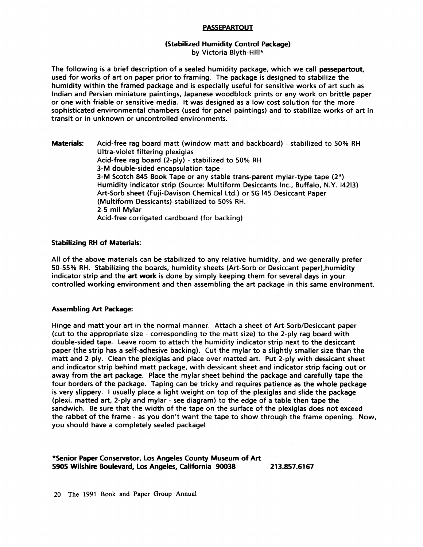## PASSEPARTOUT

## **(Stabilized** Humidity Control **Package)**  by Victoria Blyth-Hill\*

The following is a brief description of a sealed humidity package, which we call **passepartout,**  used for works of art on paper prior to framing. The package is designed to stabilize the humidity within the framed package and is especially useful for sensitive works of art such as Indian and Persian miniature paintings, Japanese woodblock prints or any work on brittle paper or one with friable or sensitive media. It was designed as a low cost solution for the more sophisticated environmental chambers (used for panel paintings) and to stabilize works of art in transit or in unknown or uncontrolled environments.

**Materials:** Acid-free rag board matt (window matt and backboard) - stabilized to 50% RH Ultra-violet filtering plexiglas Acid-free rag board (2-ply) - stabilized to 50% RH 3-M double-sided encapsulation tape 3-M Scotch 845 Book Tape or any stable trans-parent mylar-type tape (2") Humidity indicator strip (Source: Multiform Desiccants Inc., Buffalo, N.Y. 14213) Art-Sorb sheet (Fuji-Davison Chemical Ltd.) or SG 145 Desiccant Paper (Multiform Dessicants)-stabilized to 50% RH. 2-5 mil Mylar Acid-free corrigated cardboard (for backing)

## **Stabilizing RH of Materials:**

All of the above materials can be stabilized to any relative humidity, and we generally prefer 50-55% RH. Stabilizing the boards, humidity sheets (Art-Sorb or Desiccant paper),humidity indicator strip and the **art work** is done by simply keeping them for several days in your controlled working environment and then assembling the art package in this same environment.

## **Assembling Art Package:**

Hinge and matt your art in the normal manner. Attach a sheet of Art-Sorb/Desiccant paper (cut to the appropriate size - corresponding to the matt size) to the 2-ply rag board with double-sided tape. Leave room to attach the humidity indicator strip next to the desiccant paper (the strip has a self-adhesive backing). Cut the mylar to a slightly smaller size than the matt and 2-ply. Clean the plexiglas and place over matted art. Put 2-ply with dessicant sheet and indicator strip behind matt package, with dessicant sheet and indicator strip facing out or away from the art package. Place the mylar sheet behind the package and carefully tape the four borders of the package. Taping can be tricky and requires patience as the whole package is very slippery. I usualiy place a light weight on top of the plexiglas and slide the package (plexi, matted art, 2-ply and mylar - see diagram) to the edge of a table then tape the sandwich. Be sure that the width of the tape on the surface of the plexiglas does not exceed the rabbet of the frame - as you don't want the tape to show through the frame opening. Now, you should have a completely sealed package!

\*Senior **Paper** Conservator, Los Angeles County Museum of Art 5905 Wilshire Boulevard, Los Angeles, California 90038 213.857.6167

20 The 1991 Book and Paper Group Annual